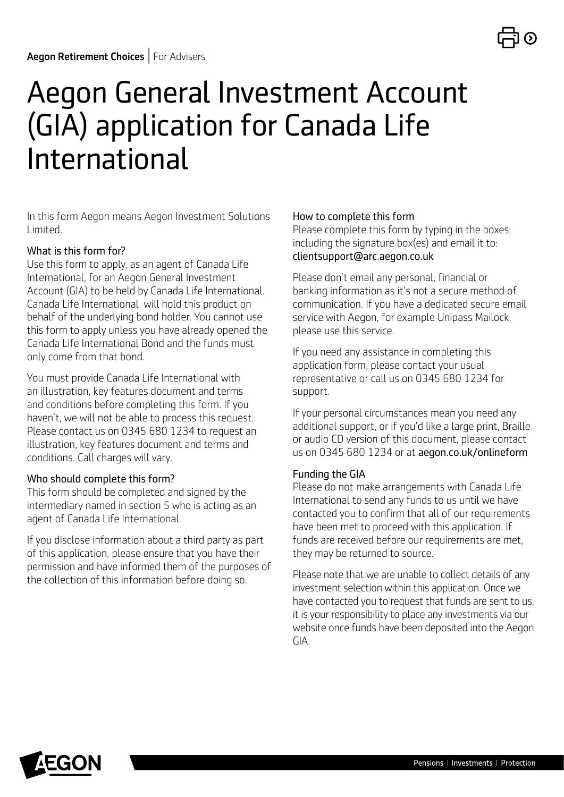# Aegon General Investment Account (GIA) application for Canada Life International

In this form Aegon means Aegon Investment Solutions Limited.

#### What is this form for?

Use this form to apply, as an agent of Canada Life International, for an Aegon General Investment Account (GIA) to be held by Canada Life International. Canada Life International will hold this product on behalf of the underlying bond holder. You cannot use this form to apply unless you have already opened the Canada Life International Bond and the funds must only come from that bond.

You must provide Canada Life International with an illustration, key features document and terms and conditions before completing this form. If you haven't, we will not be able to process this request. Please contact us on 0345 680 1234 to request an illustration, key features document and terms and conditions. Call charges will vary.

#### Who should complete this form?

This form should be completed and signed by the intermediary named in section 5 who is acting as an agent of Canada Life International.

If you disclose information about a third party as part of this application, please ensure that you have their permission and have informed them of the purposes of the collection of this information before doing so.

#### How to complete this form

Please complete this form by typing in the boxes, including the signature box(es) and email it to: [clientsupport@arc.aegon.co.uk](mailto:clientsupport%40arc.aegon.co.uk?subject=)

Please don't email any personal, financial or banking information as it's not a secure method of communication. If you have a dedicated secure email service with Aegon, for example Unipass Mailock, please use this service.

If you need any assistance in completing this application form, please contact your usual representative or call us on 0345 680 1234 for support.

If your personal circumstances mean you need any additional support, or if you'd like a large print, Braille or audio CD version of this document, please contact us on 0345 680 1234 or at [aegon.co.uk/onlineform](http://aegon.co.uk/onlineform)

#### Funding the GIA

Please do not make arrangements with Canada Life International to send any funds to us until we have contacted you to confirm that all of our requirements have been met to proceed with this application. If funds are received before our requirements are met, they may be returned to source.

Please note that we are unable to collect details of any investment selection within this application. Once we have contacted you to request that funds are sent to us, it is your responsibility to place any investments via our website once funds have been deposited into the Aegon GIA.

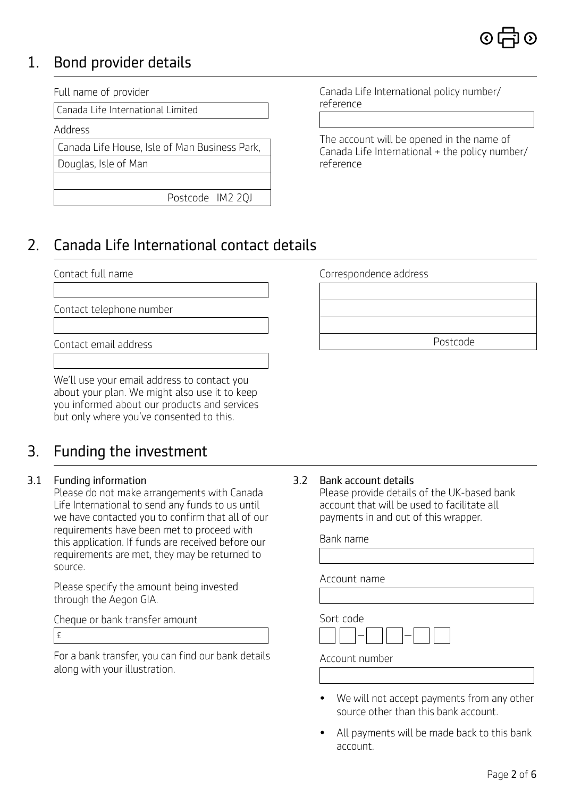

# 1. Bond provider details

Full name of provider

Canada Life International Limited

Address

Canada Life House, Isle of Man Business Park,

Douglas, Isle of Man

Postcode IM2 2QJ

Canada Life International policy number/ reference

The account will be opened in the name of Canada Life International + the policy number/ reference

# 2. Canada Life International contact details

#### Contact full name

Contact telephone number

Contact email address

We'll use your email address to contact you about your plan. We might also use it to keep you informed about our products and services but only where you've consented to this.

# 3. Funding the investment

#### 3.1 Funding information

Please do not make arrangements with Canada Life International to send any funds to us until we have contacted you to confirm that all of our requirements have been met to proceed with this application. If funds are received before our requirements are met, they may be returned to source.

Please specify the amount being invested through the Aegon GIA.

Cheque or bank transfer amount

£

For a bank transfer, you can find our bank details along with your illustration.

Correspondence address Postcode

#### 3.2 Bank account details

Please provide details of the UK-based bank account that will be used to facilitate all payments in and out of this wrapper.

| Bank name      |
|----------------|
|                |
| Account name   |
|                |
| Sort code      |
| Account number |
|                |

- We will not accept payments from any other source other than this bank account.
- All payments will be made back to this bank account.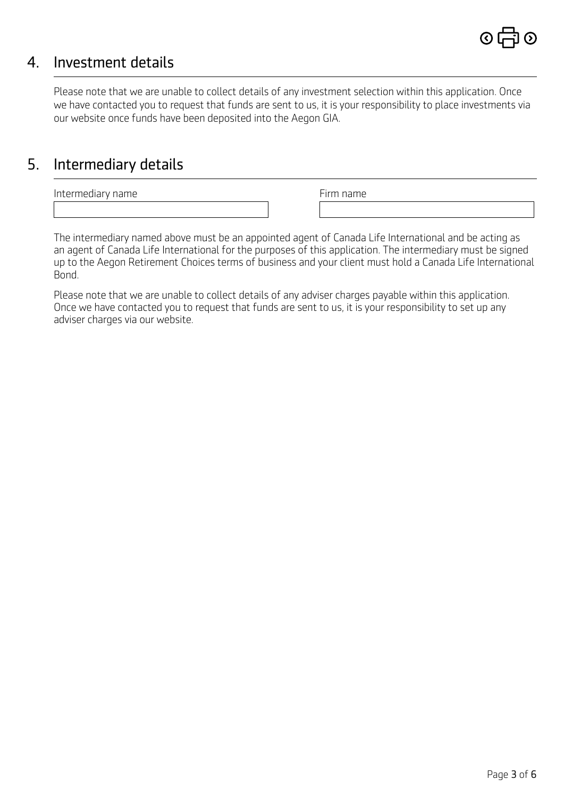

### 4. Investment details

Please note that we are unable to collect details of any investment selection within this application. Once we have contacted you to request that funds are sent to us, it is your responsibility to place investments via our website once funds have been deposited into the Aegon GIA.

### 5. Intermediary details

Intermediary name

The intermediary named above must be an appointed agent of Canada Life International and be acting as an agent of Canada Life International for the purposes of this application. The intermediary must be signed up to the Aegon Retirement Choices terms of business and your client must hold a Canada Life International Bond.

Please note that we are unable to collect details of any adviser charges payable within this application. Once we have contacted you to request that funds are sent to us, it is your responsibility to set up any adviser charges via our website.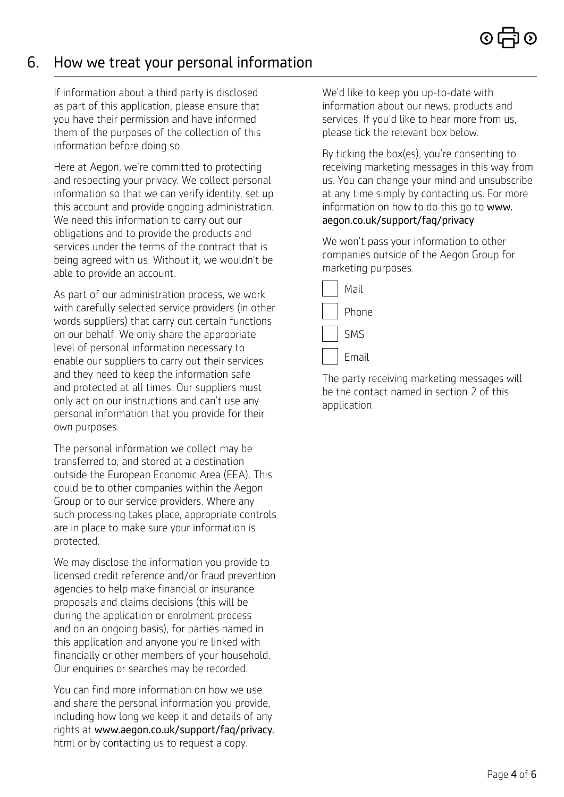# 6. How we treat your personal information

If information about a third party is disclosed as part of this application, please ensure that you have their permission and have informed them of the purposes of the collection of this information before doing so.

Here at Aegon, we're committed to protecting and respecting your privacy. We collect personal information so that we can verify identity, set up this account and provide ongoing administration. We need this information to carry out our obligations and to provide the products and services under the terms of the contract that is being agreed with us. Without it, we wouldn't be able to provide an account.

As part of our administration process, we work with carefully selected service providers (in other words suppliers) that carry out certain functions on our behalf. We only share the appropriate level of personal information necessary to enable our suppliers to carry out their services and they need to keep the information safe and protected at all times. Our suppliers must only act on our instructions and can't use any personal information that you provide for their own purposes.

The personal information we collect may be transferred to, and stored at a destination outside the European Economic Area (EEA). This could be to other companies within the Aegon Group or to our service providers. Where any such processing takes place, appropriate controls are in place to make sure your information is protected.

We may disclose the information you provide to licensed credit reference and/or fraud prevention agencies to help make financial or insurance proposals and claims decisions (this will be during the application or enrolment process and on an ongoing basis), for parties named in this application and anyone you're linked with financially or other members of your household. Our enquiries or searches may be recorded.

You can find more information on how we use and share the personal information you provide, including how long we keep it and details of any rights at [www.aegon.co.uk/support/faq/privacy.](http://www.aegon.co.uk/support/faq/privacy.html) html or by contacting us to request a copy.

We'd like to keep you up-to-date with information about our news, products and services. If you'd like to hear more from us, please tick the relevant box below.

By ticking the box(es), you're consenting to receiving marketing messages in this way from us. You can change your mind and unsubscribe at any time simply by contacting us. For more information on how to do this go to [www.](http://www.aegon.co.uk/support/faq/privacy.html) [aegon.co.uk/support/faq/privacy](http://www.aegon.co.uk/support/faq/privacy.html)

We won't pass your information to other companies outside of the Aegon Group for marketing purposes.



The party receiving marketing messages will be the contact named in section 2 of this application.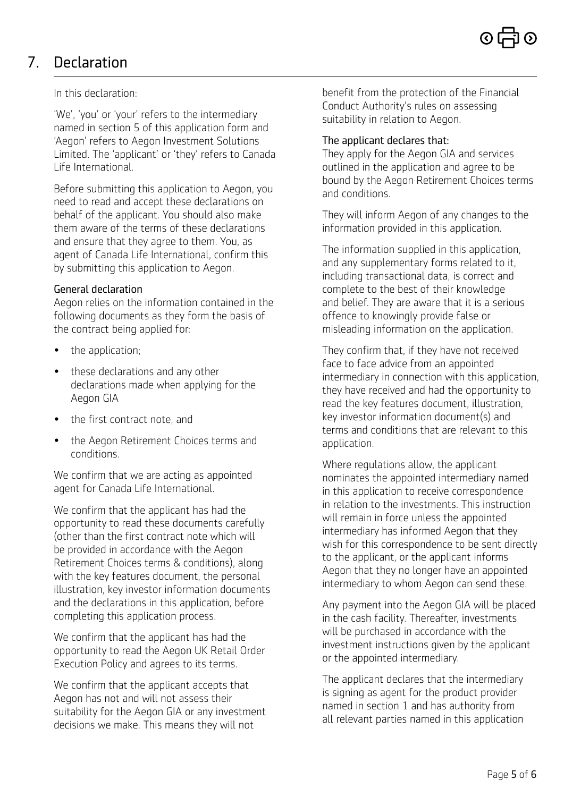# 7. Declaration

#### In this declaration:

'We', 'you' or 'your' refers to the intermediary named in section 5 of this application form and 'Aegon' refers to Aegon Investment Solutions Limited. The 'applicant' or 'they' refers to Canada Life International.

Before submitting this application to Aegon, you need to read and accept these declarations on behalf of the applicant. You should also make them aware of the terms of these declarations and ensure that they agree to them. You, as agent of Canada Life International, confirm this by submitting this application to Aegon.

#### General declaration

Aegon relies on the information contained in the following documents as they form the basis of the contract being applied for:

- the application;
- these declarations and any other declarations made when applying for the Aegon GIA
- the first contract note, and
- the Aegon Retirement Choices terms and conditions.

We confirm that we are acting as appointed agent for Canada Life International.

We confirm that the applicant has had the opportunity to read these documents carefully (other than the first contract note which will be provided in accordance with the Aegon Retirement Choices terms & conditions), along with the key features document, the personal illustration, key investor information documents and the declarations in this application, before completing this application process.

We confirm that the applicant has had the opportunity to read the Aegon UK Retail Order Execution Policy and agrees to its terms.

We confirm that the applicant accepts that Aegon has not and will not assess their suitability for the Aegon GIA or any investment decisions we make. This means they will not

benefit from the protection of the Financial Conduct Authority's rules on assessing suitability in relation to Aegon.

#### The applicant declares that:

They apply for the Aegon GIA and services outlined in the application and agree to be bound by the Aegon Retirement Choices terms and conditions.

They will inform Aegon of any changes to the information provided in this application.

The information supplied in this application, and any supplementary forms related to it, including transactional data, is correct and complete to the best of their knowledge and belief. They are aware that it is a serious offence to knowingly provide false or misleading information on the application.

They confirm that, if they have not received face to face advice from an appointed intermediary in connection with this application, they have received and had the opportunity to read the key features document, illustration, key investor information document(s) and terms and conditions that are relevant to this application.

Where regulations allow, the applicant nominates the appointed intermediary named in this application to receive correspondence in relation to the investments. This instruction will remain in force unless the appointed intermediary has informed Aegon that they wish for this correspondence to be sent directly to the applicant, or the applicant informs Aegon that they no longer have an appointed intermediary to whom Aegon can send these.

Any payment into the Aegon GIA will be placed in the cash facility. Thereafter, investments will be purchased in accordance with the investment instructions given by the applicant or the appointed intermediary.

The applicant declares that the intermediary is signing as agent for the product provider named in section 1 and has authority from all relevant parties named in this application